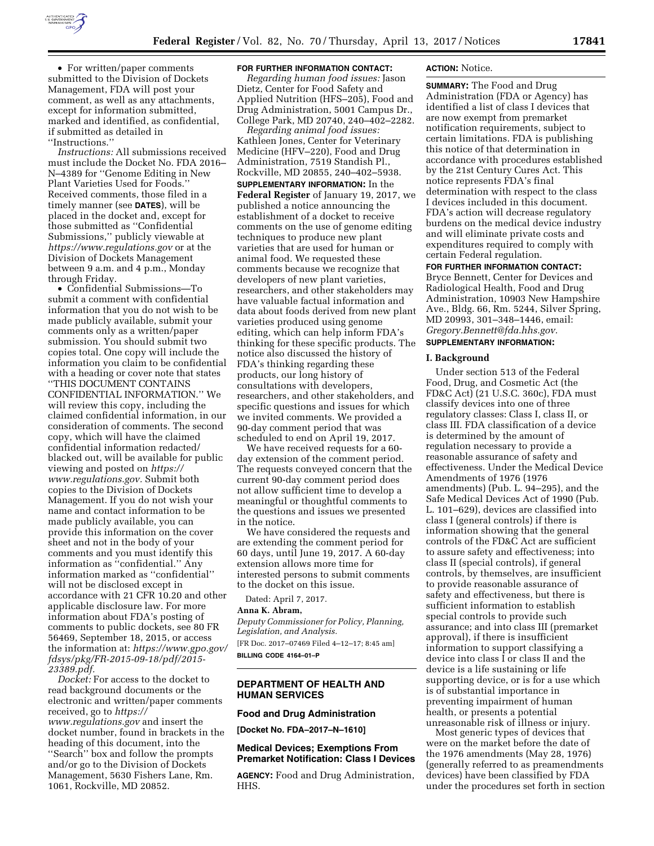

• For written/paper comments submitted to the Division of Dockets Management, FDA will post your comment, as well as any attachments, except for information submitted, marked and identified, as confidential, if submitted as detailed in ''Instructions.''

*Instructions:* All submissions received must include the Docket No. FDA 2016– N–4389 for ''Genome Editing in New Plant Varieties Used for Foods.'' Received comments, those filed in a timely manner (see **DATES**), will be placed in the docket and, except for those submitted as ''Confidential Submissions,'' publicly viewable at *<https://www.regulations.gov>* or at the Division of Dockets Management between 9 a.m. and 4 p.m., Monday through Friday.

• Confidential Submissions—To submit a comment with confidential information that you do not wish to be made publicly available, submit your comments only as a written/paper submission. You should submit two copies total. One copy will include the information you claim to be confidential with a heading or cover note that states ''THIS DOCUMENT CONTAINS CONFIDENTIAL INFORMATION.'' We will review this copy, including the claimed confidential information, in our consideration of comments. The second copy, which will have the claimed confidential information redacted/ blacked out, will be available for public viewing and posted on *[https://](https://www.regulations.gov) [www.regulations.gov.](https://www.regulations.gov)* Submit both copies to the Division of Dockets Management. If you do not wish your name and contact information to be made publicly available, you can provide this information on the cover sheet and not in the body of your comments and you must identify this information as ''confidential.'' Any information marked as ''confidential'' will not be disclosed except in accordance with 21 CFR 10.20 and other applicable disclosure law. For more information about FDA's posting of comments to public dockets, see 80 FR 56469, September 18, 2015, or access the information at: *[https://www.gpo.gov/](https://www.gpo.gov/fdsys/pkg/FR-2015-09-18/pdf/2015-23389.pdf) [fdsys/pkg/FR-2015-09-18/pdf/2015-](https://www.gpo.gov/fdsys/pkg/FR-2015-09-18/pdf/2015-23389.pdf)  [23389.pdf.](https://www.gpo.gov/fdsys/pkg/FR-2015-09-18/pdf/2015-23389.pdf)* 

*Docket:* For access to the docket to read background documents or the electronic and written/paper comments received, go to *[https://](https://www.regulations.gov) [www.regulations.gov](https://www.regulations.gov)* and insert the docket number, found in brackets in the heading of this document, into the ''Search'' box and follow the prompts and/or go to the Division of Dockets Management, 5630 Fishers Lane, Rm. 1061, Rockville, MD 20852.

#### **FOR FURTHER INFORMATION CONTACT:**

*Regarding human food issues:* Jason Dietz, Center for Food Safety and Applied Nutrition (HFS–205), Food and Drug Administration, 5001 Campus Dr., College Park, MD 20740, 240–402–2282.

*Regarding animal food issues:*  Kathleen Jones, Center for Veterinary Medicine (HFV–220), Food and Drug Administration, 7519 Standish Pl., Rockville, MD 20855, 240–402–5938.

**SUPPLEMENTARY INFORMATION:** In the **Federal Register** of January 19, 2017, we published a notice announcing the establishment of a docket to receive comments on the use of genome editing techniques to produce new plant varieties that are used for human or animal food. We requested these comments because we recognize that developers of new plant varieties, researchers, and other stakeholders may have valuable factual information and data about foods derived from new plant varieties produced using genome editing, which can help inform FDA's thinking for these specific products. The notice also discussed the history of FDA's thinking regarding these products, our long history of consultations with developers, researchers, and other stakeholders, and specific questions and issues for which we invited comments. We provided a 90-day comment period that was scheduled to end on April 19, 2017.

We have received requests for a 60 day extension of the comment period. The requests conveyed concern that the current 90-day comment period does not allow sufficient time to develop a meaningful or thoughtful comments to the questions and issues we presented in the notice.

We have considered the requests and are extending the comment period for 60 days, until June 19, 2017. A 60-day extension allows more time for interested persons to submit comments to the docket on this issue.

Dated: April 7, 2017.

# **Anna K. Abram,**

*Deputy Commissioner for Policy, Planning, Legislation, and Analysis.*  [FR Doc. 2017–07469 Filed 4–12–17; 8:45 am]

**BILLING CODE 4164–01–P** 

### **DEPARTMENT OF HEALTH AND HUMAN SERVICES**

#### **Food and Drug Administration**

**[Docket No. FDA–2017–N–1610]** 

# **Medical Devices; Exemptions From Premarket Notification: Class I Devices**

**AGENCY:** Food and Drug Administration, HHS.

#### **ACTION:** Notice.

**SUMMARY:** The Food and Drug Administration (FDA or Agency) has identified a list of class I devices that are now exempt from premarket notification requirements, subject to certain limitations. FDA is publishing this notice of that determination in accordance with procedures established by the 21st Century Cures Act. This notice represents FDA's final determination with respect to the class I devices included in this document. FDA's action will decrease regulatory burdens on the medical device industry and will eliminate private costs and expenditures required to comply with certain Federal regulation.

### **FOR FURTHER INFORMATION CONTACT:**

Bryce Bennett, Center for Devices and Radiological Health, Food and Drug Administration, 10903 New Hampshire Ave., Bldg. 66, Rm. 5244, Silver Spring, MD 20993, 301–348–1446, email: *[Gregory.Bennett@fda.hhs.gov.](mailto:Gregory.Bennett@fda.hhs.gov)*  **SUPPLEMENTARY INFORMATION:** 

#### **I. Background**

Under section 513 of the Federal Food, Drug, and Cosmetic Act (the FD&C Act) (21 U.S.C. 360c), FDA must classify devices into one of three regulatory classes: Class I, class II, or class III. FDA classification of a device is determined by the amount of regulation necessary to provide a reasonable assurance of safety and effectiveness. Under the Medical Device Amendments of 1976 (1976 amendments) (Pub. L. 94–295), and the Safe Medical Devices Act of 1990 (Pub. L. 101–629), devices are classified into class I (general controls) if there is information showing that the general controls of the FD&C Act are sufficient to assure safety and effectiveness; into class II (special controls), if general controls, by themselves, are insufficient to provide reasonable assurance of safety and effectiveness, but there is sufficient information to establish special controls to provide such assurance; and into class III (premarket approval), if there is insufficient information to support classifying a device into class I or class II and the device is a life sustaining or life supporting device, or is for a use which is of substantial importance in preventing impairment of human health, or presents a potential unreasonable risk of illness or injury.

Most generic types of devices that were on the market before the date of the 1976 amendments (May 28, 1976) (generally referred to as preamendments devices) have been classified by FDA under the procedures set forth in section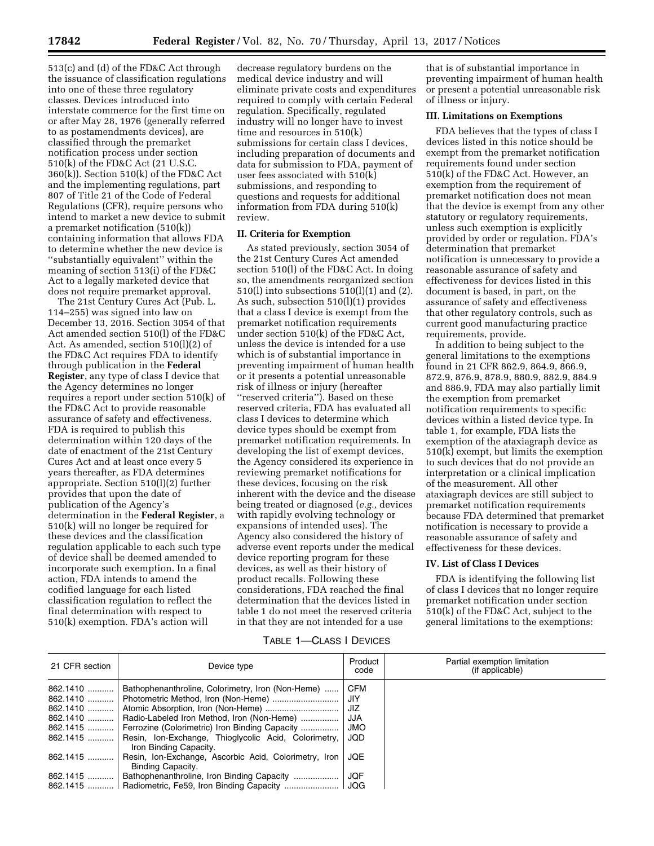513(c) and (d) of the FD&C Act through the issuance of classification regulations into one of these three regulatory classes. Devices introduced into interstate commerce for the first time on or after May 28, 1976 (generally referred to as postamendments devices), are classified through the premarket notification process under section 510(k) of the FD&C Act (21 U.S.C. 360(k)). Section 510(k) of the FD&C Act and the implementing regulations, part 807 of Title 21 of the Code of Federal Regulations (CFR), require persons who intend to market a new device to submit a premarket notification (510(k)) containing information that allows FDA to determine whether the new device is ''substantially equivalent'' within the meaning of section 513(i) of the FD&C Act to a legally marketed device that does not require premarket approval.

The 21st Century Cures Act (Pub. L. 114–255) was signed into law on December 13, 2016. Section 3054 of that Act amended section 510(l) of the FD&C Act. As amended, section 510(l)(2) of the FD&C Act requires FDA to identify through publication in the **Federal Register**, any type of class I device that the Agency determines no longer requires a report under section 510(k) of the FD&C Act to provide reasonable assurance of safety and effectiveness. FDA is required to publish this determination within 120 days of the date of enactment of the 21st Century Cures Act and at least once every 5 years thereafter, as FDA determines appropriate. Section 510(l)(2) further provides that upon the date of publication of the Agency's determination in the **Federal Register**, a 510(k) will no longer be required for these devices and the classification regulation applicable to each such type of device shall be deemed amended to incorporate such exemption. In a final action, FDA intends to amend the codified language for each listed classification regulation to reflect the final determination with respect to 510(k) exemption. FDA's action will

decrease regulatory burdens on the medical device industry and will eliminate private costs and expenditures required to comply with certain Federal regulation. Specifically, regulated industry will no longer have to invest time and resources in 510(k) submissions for certain class I devices, including preparation of documents and data for submission to FDA, payment of user fees associated with 510(k) submissions, and responding to questions and requests for additional information from FDA during 510(k) review.

# **II. Criteria for Exemption**

As stated previously, section 3054 of the 21st Century Cures Act amended section 510(l) of the FD&C Act. In doing so, the amendments reorganized section 510(l) into subsections 510(l)(1) and (2). As such, subsection 510(l)(1) provides that a class I device is exempt from the premarket notification requirements under section 510(k) of the FD&C Act, unless the device is intended for a use which is of substantial importance in preventing impairment of human health or it presents a potential unreasonable risk of illness or injury (hereafter ''reserved criteria''). Based on these reserved criteria, FDA has evaluated all class I devices to determine which device types should be exempt from premarket notification requirements. In developing the list of exempt devices, the Agency considered its experience in reviewing premarket notifications for these devices, focusing on the risk inherent with the device and the disease being treated or diagnosed (*e.g.,* devices with rapidly evolving technology or expansions of intended uses). The Agency also considered the history of adverse event reports under the medical device reporting program for these devices, as well as their history of product recalls. Following these considerations, FDA reached the final determination that the devices listed in table 1 do not meet the reserved criteria in that they are not intended for a use

that is of substantial importance in preventing impairment of human health or present a potential unreasonable risk of illness or injury.

# **III. Limitations on Exemptions**

FDA believes that the types of class I devices listed in this notice should be exempt from the premarket notification requirements found under section 510(k) of the FD&C Act. However, an exemption from the requirement of premarket notification does not mean that the device is exempt from any other statutory or regulatory requirements, unless such exemption is explicitly provided by order or regulation. FDA's determination that premarket notification is unnecessary to provide a reasonable assurance of safety and effectiveness for devices listed in this document is based, in part, on the assurance of safety and effectiveness that other regulatory controls, such as current good manufacturing practice requirements, provide.

In addition to being subject to the general limitations to the exemptions found in 21 CFR 862.9, 864.9, 866.9, 872.9, 876.9, 878.9, 880.9, 882.9, 884.9 and 886.9, FDA may also partially limit the exemption from premarket notification requirements to specific devices within a listed device type. In table 1, for example, FDA lists the exemption of the ataxiagraph device as 510(k) exempt, but limits the exemption to such devices that do not provide an interpretation or a clinical implication of the measurement. All other ataxiagraph devices are still subject to premarket notification requirements because FDA determined that premarket notification is necessary to provide a reasonable assurance of safety and effectiveness for these devices.

## **IV. List of Class I Devices**

FDA is identifying the following list of class I devices that no longer require premarket notification under section 510(k) of the FD&C Act, subject to the general limitations to the exemptions:

# TABLE 1—CLASS I DEVICES

| 21 CFR section | Device type                                                                                                                                                                | Product<br>code                 | Partial exemption limitation<br>(if applicable) |
|----------------|----------------------------------------------------------------------------------------------------------------------------------------------------------------------------|---------------------------------|-------------------------------------------------|
|                | 862.1410    Bathophenanthroline, Colorimetry, Iron (Non-Heme)<br>862.1410    Photometric Method, Iron (Non-Heme)<br>862.1410    Radio-Labeled Iron Method, Iron (Non-Heme) | <b>CFM</b><br>JIY<br>JIZ<br>JJA |                                                 |
|                | 862.1415    Ferrozine (Colorimetric) Iron Binding Capacity<br>862.1415    Resin, Ion-Exchange, Thioglycolic Acid, Colorimetry,<br>Iron Binding Capacity.                   | JMO<br>JQD                      |                                                 |
| 862.1415       | Resin, Ion-Exchange, Ascorbic Acid, Colorimetry, Iron<br>Binding Capacity.                                                                                                 | JQE                             |                                                 |
|                | 862.1415    Bathophenanthroline, Iron Binding Capacity<br>862.1415    Radiometric, Fe59, Iron Binding Capacity    JQG                                                      | JQF                             |                                                 |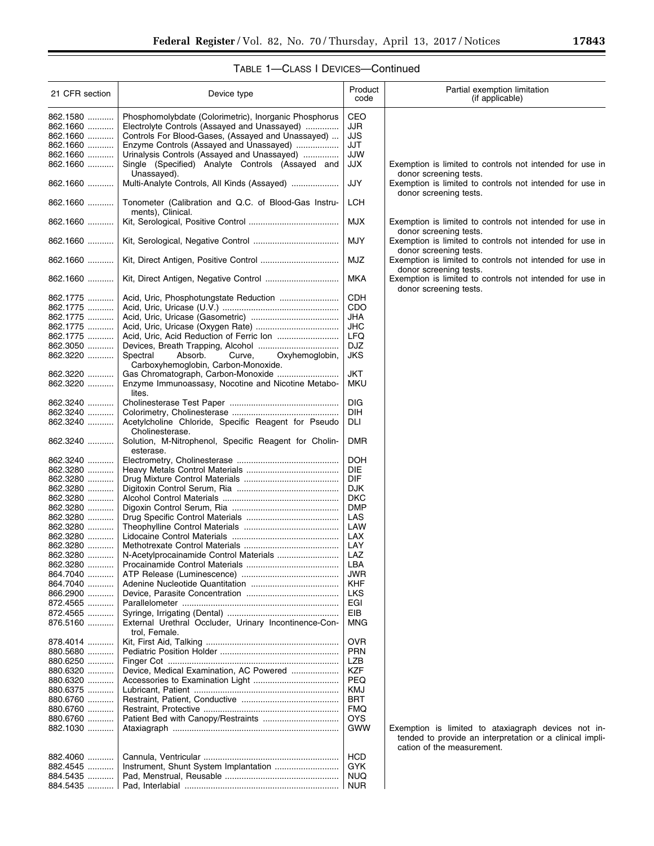# TABLE 1—CLASS I DEVICES—Continued

| 21 CFR section       | Device type                                           | Product<br>code   | Partial exemption limitation<br>(if applicable)                                    |
|----------------------|-------------------------------------------------------|-------------------|------------------------------------------------------------------------------------|
| 862.1580             | Phosphomolybdate (Colorimetric), Inorganic Phosphorus | CEO               |                                                                                    |
| 862.1660             | Electrolyte Controls (Assayed and Unassayed)          | JJR               |                                                                                    |
| 862.1660             | Controls For Blood-Gases, (Assayed and Unassayed)     | JJS               |                                                                                    |
| 862.1660             | Enzyme Controls (Assayed and Unassayed)               | JJT               |                                                                                    |
| 862.1660             | Urinalysis Controls (Assayed and Unassayed)           | JJW               |                                                                                    |
| 862.1660             | Single (Specified) Analyte Controls (Assayed and      | <b>JJX</b>        | Exemption is limited to controls not intended for use in                           |
|                      | Unassayed).                                           |                   | donor screening tests.                                                             |
| 862.1660             | Multi-Analyte Controls, All Kinds (Assayed)           | JJY               | Exemption is limited to controls not intended for use in                           |
|                      |                                                       |                   | donor screening tests.                                                             |
| 862.1660             | Tonometer (Calibration and Q.C. of Blood-Gas Instru-  | <b>LCH</b>        |                                                                                    |
|                      | ments), Clinical.                                     |                   |                                                                                    |
| 862.1660             |                                                       | <b>MJX</b>        | Exemption is limited to controls not intended for use in                           |
| 862.1660             |                                                       | <b>MJY</b>        | donor screening tests.<br>Exemption is limited to controls not intended for use in |
|                      |                                                       |                   | donor screening tests.                                                             |
| 862.1660             |                                                       | <b>MJZ</b>        | Exemption is limited to controls not intended for use in                           |
|                      |                                                       |                   | donor screening tests.                                                             |
| 862.1660             |                                                       | MKA               | Exemption is limited to controls not intended for use in                           |
|                      |                                                       |                   | donor screening tests.                                                             |
| 862.1775             |                                                       | CDH               |                                                                                    |
| 862.1775             |                                                       | CDO               |                                                                                    |
| 862.1775             |                                                       | JHA               |                                                                                    |
| 862.1775             |                                                       | <b>JHC</b>        |                                                                                    |
| 862.1775             |                                                       | <b>LFQ</b>        |                                                                                    |
| 862.3050             |                                                       | DJZ               |                                                                                    |
| 862.3220             | Spectral<br>Absorb.<br>Oxyhemoglobin,<br>Curve,       | <b>JKS</b>        |                                                                                    |
|                      | Carboxyhemoglobin, Carbon-Monoxide.                   |                   |                                                                                    |
| 862.3220             |                                                       | <b>JKT</b>        |                                                                                    |
| 862.3220             | Enzyme Immunoassasy, Nocotine and Nicotine Metabo-    | MKU               |                                                                                    |
|                      | lites.                                                |                   |                                                                                    |
| 862.3240             |                                                       | <b>DIG</b>        |                                                                                    |
| 862.3240<br>862.3240 | Acetylcholine Chloride, Specific Reagent for Pseudo   | DIH<br>DLI        |                                                                                    |
|                      | Cholinesterase.                                       |                   |                                                                                    |
| 862.3240             | Solution, M-Nitrophenol, Specific Reagent for Cholin- | <b>DMR</b>        |                                                                                    |
|                      | esterase.                                             |                   |                                                                                    |
| 862.3240             |                                                       | <b>DOH</b>        |                                                                                    |
| 862.3280             |                                                       | <b>DIE</b>        |                                                                                    |
| 862.3280             |                                                       | <b>DIF</b>        |                                                                                    |
| 862.3280             |                                                       | <b>DJK</b>        |                                                                                    |
| 862.3280             |                                                       | <b>DKC</b>        |                                                                                    |
| 862.3280             |                                                       | <b>DMP</b>        |                                                                                    |
| 862.3280             |                                                       | LAS               |                                                                                    |
| 862.3280             |                                                       | LAW               |                                                                                    |
| 862.3280             |                                                       | LAX               |                                                                                    |
| 862.3280             |                                                       | LAY               |                                                                                    |
| 862.3280             |                                                       | LAZ               |                                                                                    |
| 862.3280             |                                                       | LBA               |                                                                                    |
| 864.7040             |                                                       | JWR               |                                                                                    |
| 864.7040<br>.        |                                                       | KHF<br><b>LKS</b> |                                                                                    |
| 866.2900<br>872.4565 |                                                       | EGI               |                                                                                    |
| 872.4565             |                                                       | EIB               |                                                                                    |
| 876.5160             | External Urethral Occluder, Urinary Incontinence-Con- | MNG               |                                                                                    |
|                      | trol, Female.                                         |                   |                                                                                    |
| 878.4014             |                                                       | <b>OVR</b>        |                                                                                    |
| 880.5680             |                                                       | <b>PRN</b>        |                                                                                    |
| 880.6250             |                                                       | LZB               |                                                                                    |
| 880.6320             | Device, Medical Examination, AC Powered               | KZF               |                                                                                    |
| 880.6320<br>.        |                                                       | <b>PEQ</b>        |                                                                                    |
| 880.6375             |                                                       | KMJ               |                                                                                    |
| 880.6760             |                                                       | <b>BRT</b>        |                                                                                    |
| 880.6760             |                                                       | <b>FMQ</b>        |                                                                                    |
| 880.6760             |                                                       | <b>OYS</b>        |                                                                                    |
| 882.1030             |                                                       | GWW               | Exemption is limited to ataxiagraph devices not in-                                |
|                      |                                                       |                   | tended to provide an interpretation or a clinical impli-                           |
|                      |                                                       |                   | cation of the measurement.                                                         |
| 882.4060<br>882.4545 |                                                       | HCD<br>GYK        |                                                                                    |
| .<br>884.5435<br>.   |                                                       | <b>NUQ</b>        |                                                                                    |
| 884.5435             |                                                       | NUR               |                                                                                    |
|                      |                                                       |                   |                                                                                    |